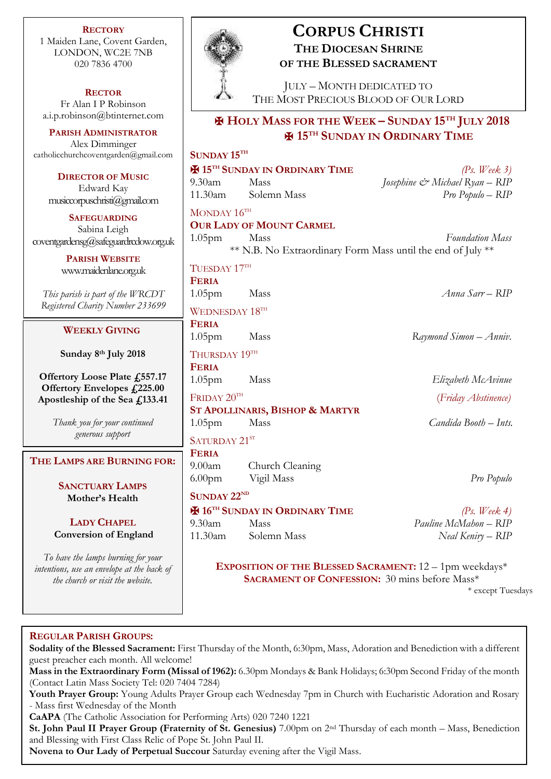**RECTORY** 1 Maiden Lane, Covent Garden, LONDON, WC2E 7NB 020 7836 4700

#### **RECTOR**

Fr Alan I P Robinson [a.i.p.robinson@btinternet.com](mailto:a.i.p.robinson@btinternet.com)

**PARISH ADMINISTRATOR** Alex Dimminger [catholicchurchcoventgarden@gmail.com](mailto:catholicchurchcoventgarden@gmail.com)

> **DIRECTOR OF MUSIC** Edward Kay musiccorpuschristi@gmail.com

**SAFEGUARDING** Sabina Leigh [coventgardensg@safeguardrcdow.org.uk](mailto:coventgardensg@safeguardrcdow.org.uk)

> **PARISH WEBSITE** [www.maidenlane.org.uk](http://www.maidenlane.org.uk/)

*This parish is part of the WRCDT Registered Charity Number 233699*

### **WEEKLY GIVING**

**Sunday 8 th July 2018**

**Offertory Loose Plate £557.17 Offertory Envelopes £225.00 Apostleship of the Sea £133.41**

> *Thank you for your continued generous support*

**THE LAMPS ARE BURNING FOR:**

**SANCTUARY LAMPS Mother's Health**

**LADY CHAPEL Conversion of England**

*To have the lamps burning for your intentions, use an envelope at the back of the church or visit the website.*



# **CORPUS CHRISTI THE DIOCESAN SHRINE OF THE BLESSED SACRAMENT**

JULY – MONTH DEDICATED TO THE MOST PRECIOUS BLOOD OF OUR LORD

## ✠ **HOLY MASS FOR THE WEEK – SUNDAY 15TH JULY 2018** ✠ **15TH SUNDAY IN ORDINARY TIME**

## **SUNDAY 15TH** ✠ **15TH SUNDAY IN ORDINARY TIME** *(Ps. Week 3)* 9.30am Mass *Josephine & Michael Ryan – RIP* 11.30am Solemn Mass *Pro Populo – RIP* MONDAY 16TH **OUR LADY OF MOUNT CARMEL** 1.05pm Mass *Foundation Mass* \*\* N.B. No Extraordinary Form Mass until the end of July \*\* TUESDAY 17TH **FERIA** 1.05pm Mass *Anna Sarr – RIP* WEDNESDAY  $18^{\text{TH}}$ **FERIA** 1.05pm Mass *Raymond Simon – Anniv.* THURSDAY 19TH **FERIA** 1.05pm Mass *Elizabeth McAvinue* FRIDAY  $20^{\text{TH}}$  (*Friday Abstinence)* **ST APOLLINARIS, BISHOP & MARTYR** 1.05pm Mass *Candida Booth – Ints.* SATURDAY 21ST **FERIA** 9.00am Church Cleaning 6.00pm Vigil Mass *Pro Populo* **SUNDAY 22ND** ✠ **16TH SUNDAY IN ORDINARY TIME** *(Ps. Week 4)* 9.30am Mass *Pauline McMahon – RIP* 11.30am Solemn Mass *Neal Keniry – RIP* **EXPOSITION OF THE BLESSED SACRAMENT:** 12 – 1pm weekdays\* **SACRAMENT OF CONFESSION:** 30 mins before Mass\*

\* except Tuesdays

### **REGULAR PARISH GROUPS:**

**Sodality of the Blessed Sacrament:** First Thursday of the Month, 6:30pm, Mass, Adoration and Benediction with a different guest preacher each month. All welcome!

**Mass in the Extraordinary Form (Missal of 1962):** 6.30pm Mondays & Bank Holidays; 6:30pm Second Friday of the month (Contact Latin Mass Society Tel: 020 7404 7284)

**Youth Prayer Group:** Young Adults Prayer Group each Wednesday 7pm in Church with Eucharistic Adoration and Rosary - Mass first Wednesday of the Month

**CaAPA** (The Catholic Association for Performing Arts) 020 7240 1221

**St. John Paul II Prayer Group (Fraternity of St. Genesius)** 7.00pm on 2nd Thursday of each month – Mass, Benediction and Blessing with First Class Relic of Pope St. John Paul II.

**Novena to Our Lady of Perpetual Succour** Saturday evening after the Vigil Mass.